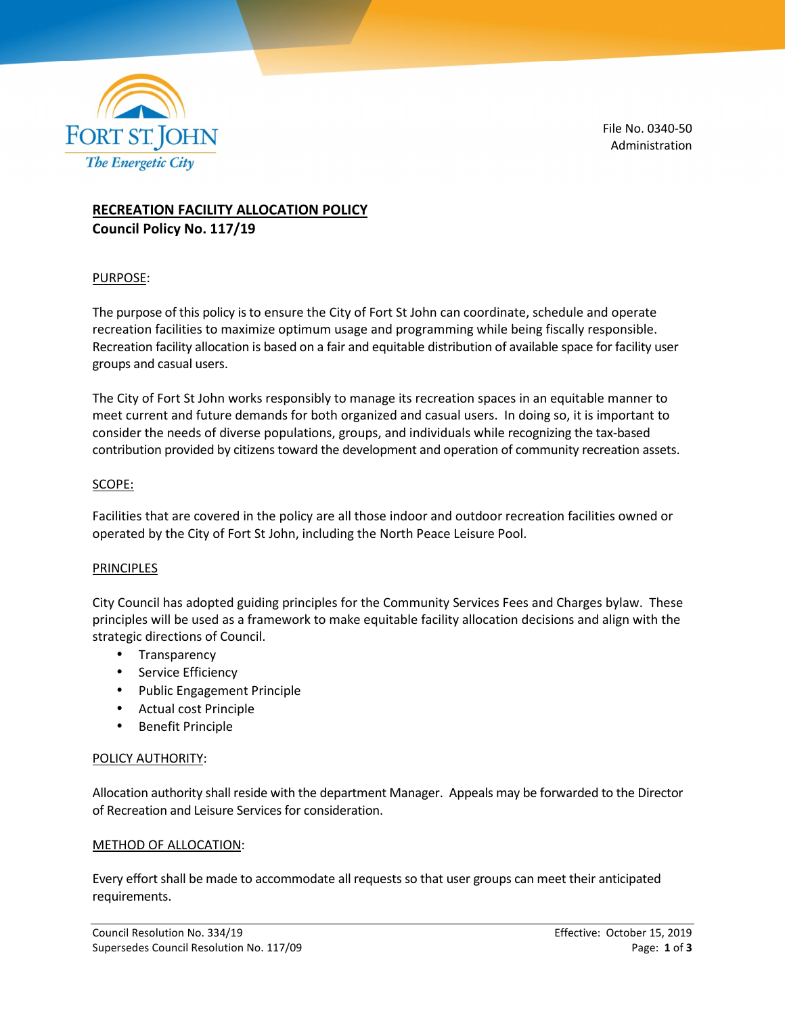

File No. 0340-50 Administration

# **RECREATION FACILITY ALLOCATION POLICY Council Policy No. 117/19**

### PURPOSE:

The purpose of this policy is to ensure the City of Fort St John can coordinate, schedule and operate recreation facilities to maximize optimum usage and programming while being fiscally responsible. Recreation facility allocation is based on a fair and equitable distribution of available space for facility user groups and casual users.

The City of Fort St John works responsibly to manage its recreation spaces in an equitable manner to meet current and future demands for both organized and casual users. In doing so, it is important to consider the needs of diverse populations, groups, and individuals while recognizing the tax-based contribution provided by citizens toward the development and operation of community recreation assets.

#### SCOPE:

Facilities that are covered in the policy are all those indoor and outdoor recreation facilities owned or operated by the City of Fort St John, including the North Peace Leisure Pool.

#### **PRINCIPLES**

City Council has adopted guiding principles for the Community Services Fees and Charges bylaw. These principles will be used as a framework to make equitable facility allocation decisions and align with the strategic directions of Council.

- Transparency
- Service Efficiency
- Public Engagement Principle
- Actual cost Principle
- Benefit Principle

#### POLICY AUTHORITY:

Allocation authority shall reside with the department Manager. Appeals may be forwarded to the Director of Recreation and Leisure Services for consideration.

#### METHOD OF ALLOCATION:

Every effort shall be made to accommodate all requests so that user groups can meet their anticipated requirements.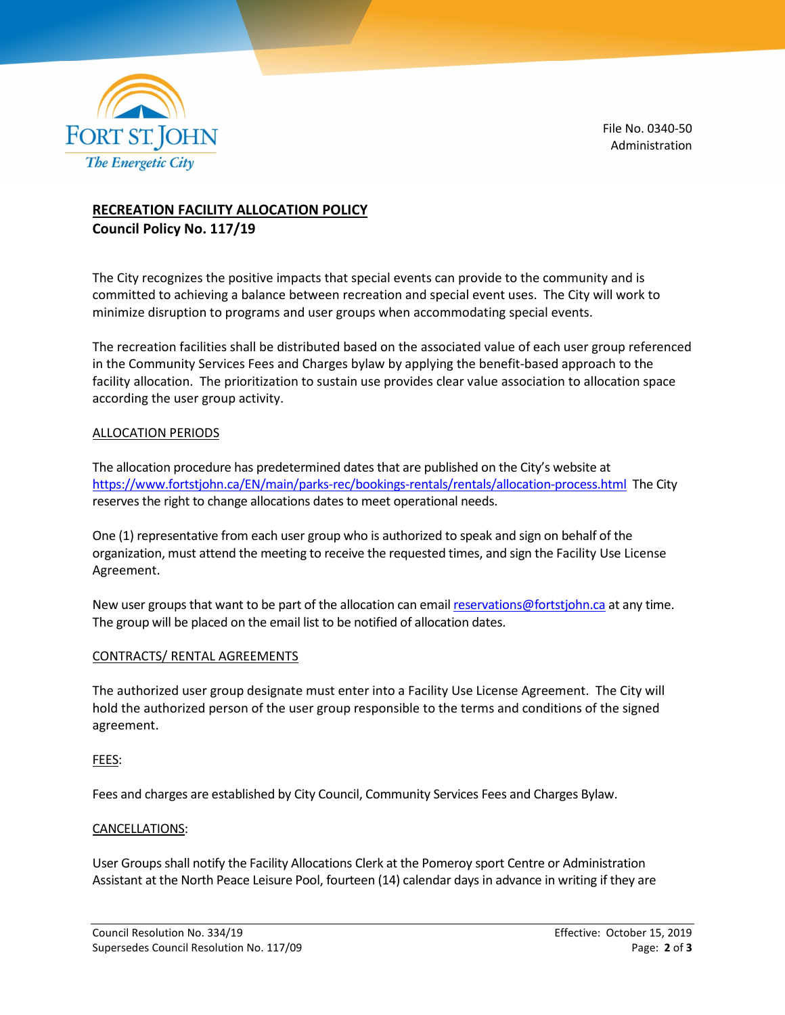

File No. 0340-50 Administration

## **RECREATION FACILITY ALLOCATION POLICY Council Policy No. 117/19**

The City recognizes the positive impacts that special events can provide to the community and is committed to achieving a balance between recreation and special event uses. The City will work to minimize disruption to programs and user groups when accommodating special events.

The recreation facilities shall be distributed based on the associated value of each user group referenced in the Community Services Fees and Charges bylaw by applying the benefit-based approach to the facility allocation. The prioritization to sustain use provides clear value association to allocation space according the user group activity.

### ALLOCATION PERIODS

The allocation procedure has predetermined dates that are published on the City's website at https://www.fortstjohn.ca/EN/main/parks-rec/bookings-rentals/rentals/allocation-process.html The City reserves the right to change allocations dates to meet operational needs.

One (1) representative from each user group who is authorized to speak and sign on behalf of the organization, must attend the meeting to receive the requested times, and sign the Facility Use License Agreement.

New user groups that want to be part of the allocation can email reservations@fortstjohn.ca at any time. The group will be placed on the email list to be notified of allocation dates.

#### CONTRACTS/ RENTAL AGREEMENTS

The authorized user group designate must enter into a Facility Use License Agreement. The City will hold the authorized person of the user group responsible to the terms and conditions of the signed agreement.

#### FEES:

Fees and charges are established by City Council, Community Services Fees and Charges Bylaw.

#### CANCELLATIONS:

User Groups shall notify the Facility Allocations Clerk at the Pomeroy sport Centre or Administration Assistant at the North Peace Leisure Pool, fourteen (14) calendar days in advance in writing if they are